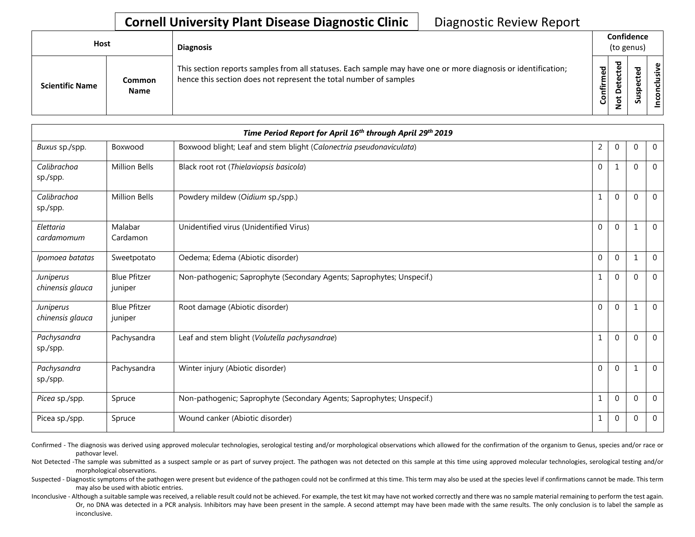## **Cornell University Plant Disease Diagnostic Clinic** | Diagnostic Review Report

| Host                   |                              | <b>Diagnosis</b>                                                                                                                                                                   |           | Confidence<br>(to genus) |        |                   |  |  |
|------------------------|------------------------------|------------------------------------------------------------------------------------------------------------------------------------------------------------------------------------|-----------|--------------------------|--------|-------------------|--|--|
| <b>Scientific Name</b> | <b>Common</b><br><b>Name</b> | This section reports samples from all statuses. Each sample may have one or more diagnosis or identification;<br>hence this section does not represent the total number of samples | Confirmed | ᇃ<br>$\Omega$            | 5<br>ب | usive<br>ಕ<br>CON |  |  |

| Time Period Report for April 16th through April 29th 2019 |                                |                                                                       |              |                |             |                |  |
|-----------------------------------------------------------|--------------------------------|-----------------------------------------------------------------------|--------------|----------------|-------------|----------------|--|
| Buxus sp./spp.                                            | Boxwood                        | Boxwood blight; Leaf and stem blight (Calonectria pseudonaviculata)   | 2            | $\mathbf 0$    | $\Omega$    | $\overline{0}$ |  |
| Calibrachoa<br>sp./spp.                                   | <b>Million Bells</b>           | Black root rot (Thielaviopsis basicola)                               | $\Omega$     | 1              | $\Omega$    | $\Omega$       |  |
| Calibrachoa<br>sp./spp.                                   | <b>Million Bells</b>           | Powdery mildew (Oidium sp./spp.)                                      | 1            | $\mathbf{0}$   | $\Omega$    | $\mathbf 0$    |  |
| Elettaria<br>cardamomum                                   | Malabar<br>Cardamon            | Unidentified virus (Unidentified Virus)                               | $\mathbf{0}$ | $\mathbf{0}$   | 1           | $\mathbf{0}$   |  |
| Ipomoea batatas                                           | Sweetpotato                    | Oedema; Edema (Abiotic disorder)                                      | $\mathbf{0}$ | $\mathbf{0}$   |             | $\overline{0}$ |  |
| Juniperus<br>chinensis glauca                             | <b>Blue Pfitzer</b><br>juniper | Non-pathogenic; Saprophyte (Secondary Agents; Saprophytes; Unspecif.) | 1            | $\mathbf{0}$   | $\Omega$    | $\overline{0}$ |  |
| Juniperus<br>chinensis glauca                             | <b>Blue Pfitzer</b><br>juniper | Root damage (Abiotic disorder)                                        | $\mathbf{0}$ | $\mathbf{0}$   |             | $\overline{0}$ |  |
| Pachysandra<br>sp./spp.                                   | Pachysandra                    | Leaf and stem blight (Volutella pachysandrae)                         | 1            | $\mathbf{0}$   | $\Omega$    | $\mathbf 0$    |  |
| Pachysandra<br>sp./spp.                                   | Pachysandra                    | Winter injury (Abiotic disorder)                                      | $\mathbf{0}$ | $\mathbf{0}$   |             | $\overline{0}$ |  |
| Picea sp./spp.                                            | Spruce                         | Non-pathogenic; Saprophyte (Secondary Agents; Saprophytes; Unspecif.) | $\mathbf{1}$ | $\mathbf{0}$   | $\Omega$    | $\mathbf 0$    |  |
| Picea sp./spp.                                            | Spruce                         | Wound canker (Abiotic disorder)                                       | $\mathbf{1}$ | $\overline{0}$ | $\mathbf 0$ | $\mathbf{0}$   |  |

Confirmed - The diagnosis was derived using approved molecular technologies, serological testing and/or morphological observations which allowed for the confirmation of the organism to Genus, species and/or race or pathovar level.

Not Detected -The sample was submitted as a suspect sample or as part of survey project. The pathogen was not detected on this sample at this time using approved molecular technologies, serological testing and/or morphological observations.

Suspected - Diagnostic symptoms of the pathogen were present but evidence of the pathogen could not be confirmed at this time. This term may also be used at the species level if confirmations cannot be made. This term may also be used with abiotic entries.

Inconclusive - Although a suitable sample was received, a reliable result could not be achieved. For example, the test kit may have not worked correctly and there was no sample material remaining to perform the test again. Or, no DNA was detected in a PCR analysis. Inhibitors may have been present in the sample. A second attempt may have been made with the same results. The only conclusion is to label the sample as inconclusive.